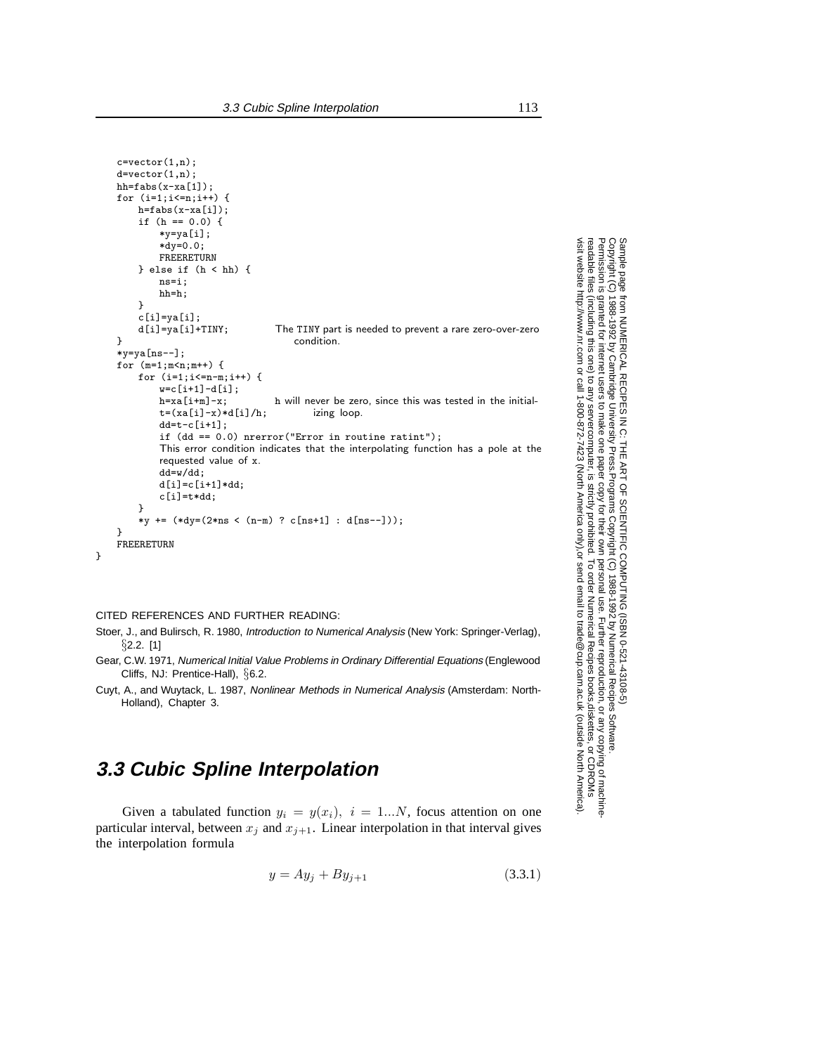```
c=vector(1,n);d=vector(1,n):
hh=fabs(x-xa[1]);for (i=1;i<=n;i++) {
    h=fabs(x-xa[i]);
    if (h == 0.0) {
        *y=ya[i];
        *dy=0.0;
        FREERETURN
    } else if (h < hh) {
        ns=i;
        hh=h;
    }
    c[i]=ya[i];<br>d[i]=ya[i]+TINY;
                              The TINY part is needed to prevent a rare zero-over-zero
} condition.
*y=ya[ns--];
for (m=1; m < n; m++) {
    for (i=1;i<=n-m;i++) {
        w=c[i+1]-d[i];<br>h=xa[i+m]-x;h will never be zero, since this was tested in the initial-
        t=(xa[i]-x)*d[i]/h; izing loop.
        dd=t-c[i+1];if (dd == 0.0) nrerror("Error in routine ratint");
        This error condition indicates that the interpolating function has a pole at the
        requested value of x.
        dd=w/dd;
        d[i]=c[i+1]*dd;c[i]=t*dd;
    }
    *y += (*dy=(2*ns < (n-m) ? c[ns+1] : d[ns--]));
}
FREERETURN
```
#### CITED REFERENCES AND FURTHER READING:

}

Stoer, J., and Bulirsch, R. 1980, Introduction to Numerical Analysis (New York: Springer-Verlag), *§*2.2. [1]

- Gear, C.W. 1971, Numerical Initial Value Problems in Ordinary Differential Equations (Englewood Cliffs, NJ: Prentice-Hall), *§*6.2.
- Cuyt, A., and Wuytack, L. 1987, Nonlinear Methods in Numerical Analysis (Amsterdam: North-Holland), Chapter 3.

# **3.3 Cubic Spline Interpolation**

Given a tabulated function  $y_i = y(x_i)$ ,  $i = 1...N$ , focus attention on one particular interval, between  $x_i$  and  $x_{i+1}$ . Linear interpolation in that interval gives the interpolation formula

$$
y = Ay_j + By_{j+1}
$$
 (3.3.1)

Sample page from NUMERICAL RECIPES IN C. THE ART OF SCIENTIFIC COMPUTING (ISBN 0-521-433105-5)<br>Copyright (C) 1988-1992 by Cambridge University Press. Programs Copyright (C) 1988-1992 by Numerical Recipes Software.<br>Permissi visit website http://www.nr.com or call 1-800-872-7423 (North America only), readable files (including this one) to any server Permission is granted for internet users to make one paper copy for their own personal use. Further reproduction, or any copying of machine-Copyright (C) 1988-1992 by Cambridge University Press. Sample page from NUMERICAL RECIPES IN C: THE ART OF SCIENTIFIC COMPUTING (ISBN 0-521-43108-5) computer, is strictly prohibited. To order Numerical Recipes books, Programs Copyright (C) 1988-1992 by Numerical Recipes Software. or send email to trade@cup.cam.ac.uk (outside North America). diskettes, or CDROMs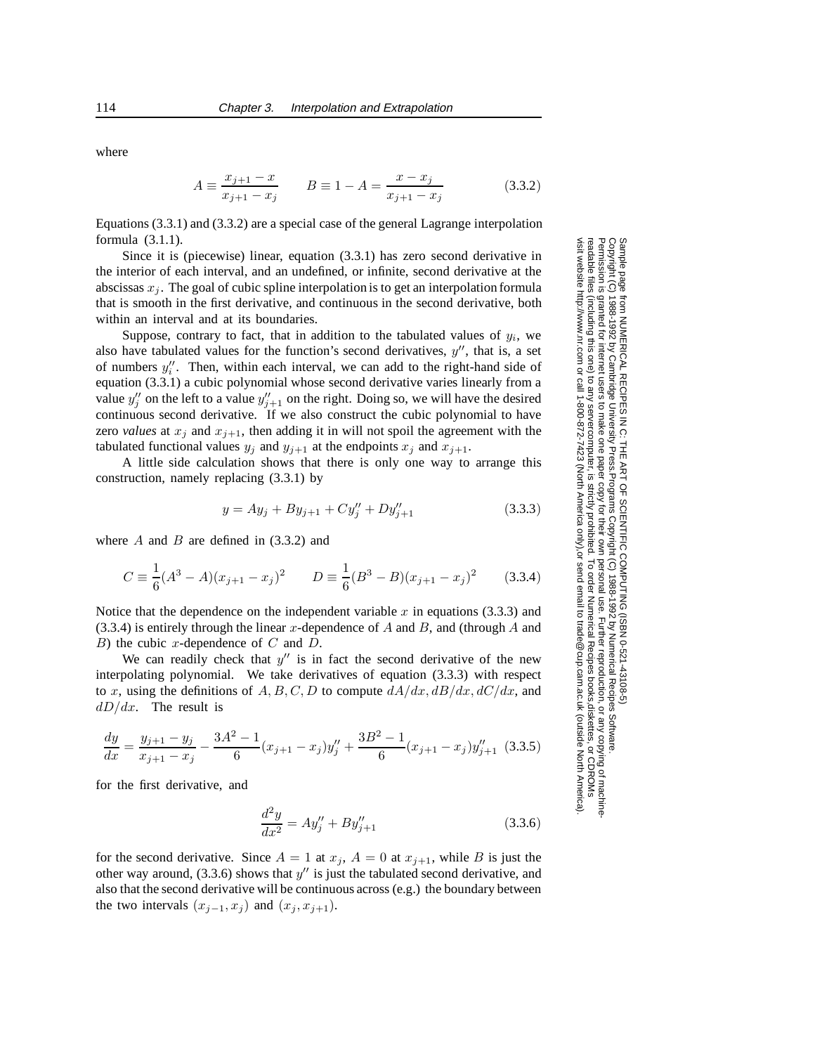where

$$
A \equiv \frac{x_{j+1} - x}{x_{j+1} - x_j} \qquad B \equiv 1 - A = \frac{x - x_j}{x_{j+1} - x_j} \tag{3.3.2}
$$

Equations (3.3.1) and (3.3.2) are a special case of the general Lagrange interpolation formula (3.1.1).

Since it is (piecewise) linear, equation (3.3.1) has zero second derivative in the interior of each interval, and an undefined, or infinite, second derivative at the abscissas  $x_j$ . The goal of cubic spline interpolation is to get an interpolation formula that is smooth in the first derivative, and continuous in the second derivative, both within an interval and at its boundaries.

Suppose, contrary to fact, that in addition to the tabulated values of  $y_i$ , we also have tabulated values for the function's second derivatives,  $y''$ , that is, a set of numbers  $y''_i$ . Then, within each interval, we can add to the right-hand side of equation (3.3.1) a cubic polynomial whose second derivative varies linearly from a value  $y''_j$  on the left to a value  $y''_{j+1}$  on the right. Doing so, we will have the desired continuous second derivative. If we also construct the cubic polynomial to have zero *values* at  $x_j$  and  $x_{j+1}$ , then adding it in will not spoil the agreement with the tabulated functional values  $y_i$  and  $y_{i+1}$  at the endpoints  $x_i$  and  $x_{i+1}$ .

A little side calculation shows that there is only one way to arrange this construction, namely replacing (3.3.1) by

$$
y = Ay_j + By_{j+1} + Cy_j'' + Dy_{j+1}'' \tag{3.3.3}
$$

where  $A$  and  $B$  are defined in  $(3.3.2)$  and

$$
C \equiv \frac{1}{6}(A^3 - A)(x_{j+1} - x_j)^2 \qquad D \equiv \frac{1}{6}(B^3 - B)(x_{j+1} - x_j)^2 \qquad (3.3.4)
$$

Notice that the dependence on the independent variable  $x$  in equations (3.3.3) and  $(3.3.4)$  is entirely through the linear x-dependence of A and B, and (through A and  $B$ ) the cubic x-dependence of  $C$  and  $D$ .

We can readily check that  $y''$  is in fact the second derivative of the new interpolating polynomial. We take derivatives of equation (3.3.3) with respect to x, using the definitions of A, B, C, D to compute  $dA/dx$ ,  $dB/dx$ ,  $dC/dx$ , and  $dD/dx$ . The result is

$$
\frac{dy}{dx} = \frac{y_{j+1} - y_j}{x_{j+1} - x_j} - \frac{3A^2 - 1}{6}(x_{j+1} - x_j)y_j'' + \frac{3B^2 - 1}{6}(x_{j+1} - x_j)y_{j+1}'' \tag{3.3.5}
$$

for the first derivative, and

$$
\frac{d^2y}{dx^2} = Ay''_j + By''_{j+1}
$$
\n(3.3.6)

for the second derivative. Since  $A = 1$  at  $x_j$ ,  $A = 0$  at  $x_{j+1}$ , while B is just the other way around,  $(3.3.6)$  shows that  $y''$  is just the tabulated second derivative, and also that the second derivative will be continuous across (e.g.) the boundary between the two intervals  $(x_{i-1}, x_i)$  and  $(x_i, x_{i+1})$ .

Sample page 1<br>Copyright (C) Copyright (C) 1988-1992 by Cambridge University Press. Programs Copyright (C) 1988-1992 by Numerical Recipes Software.<br>Permission is granted for internet users to make one paper copy for their own personal use. Further rep visit website http://www.nr.com or call 1-800-872-7423 (North America only), readable files (including this one) to any server Permission is granted for internet users to make one paper copy for their own personal use. Further reproduction, or any copying of machine-Copyright (C) 1988-1992 by Cambridge University Press. from NUMERICAL RECIPES IN C: THE ART OF SCIENTIFIC COMPUTING (ISBN 0-521-43108-5)<br>1988-1992 by Cambridge University Press. Programs Copyright (C) 1988-1992 by Numerical Recip computer, is strictly prohibited. To order Numerical Recipes books, Programs Copyright (C) 1988-1992 by Numerical Recipes Software. or send email to trade@cup.cam.ac.uk (outside North America). diskettes, or CDROMs

Sample page from NUMERICAL RECIPES IN C: THE ART OF SCIENTIFIC COMPUTING (ISBN 0-521-43108-5)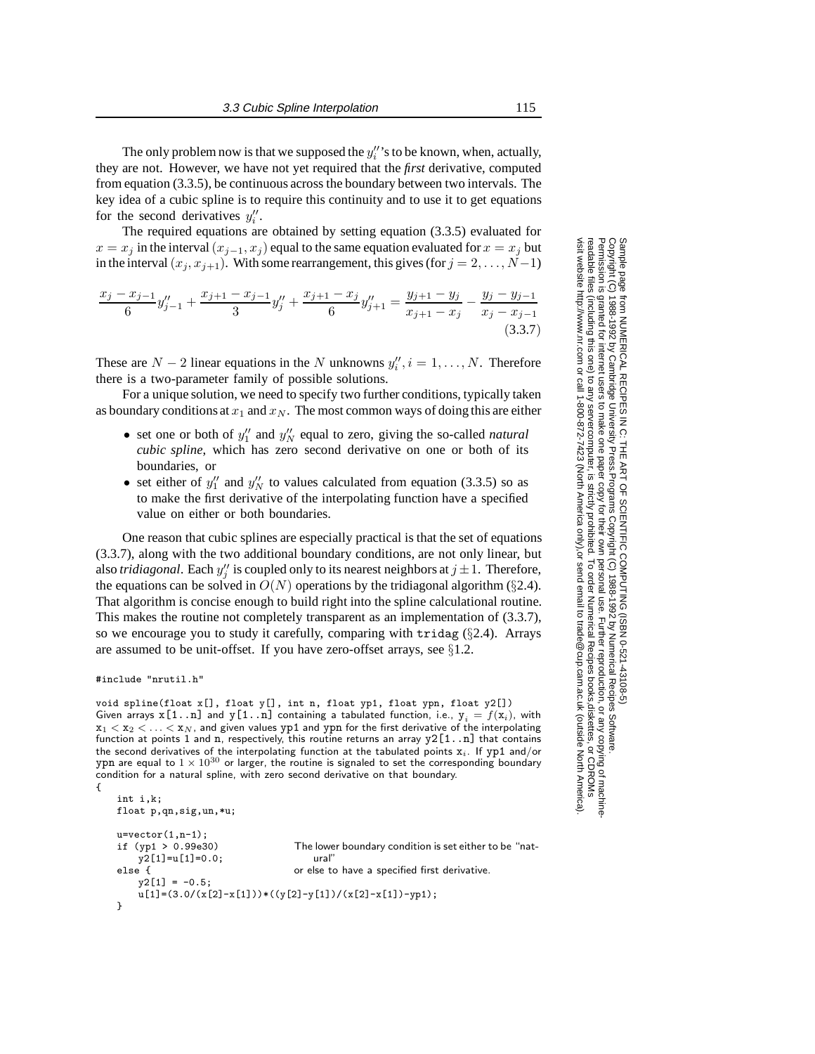The only problem now is that we supposed the  $y_i''$ 's to be known, when, actually, they are not. However, we have not yet required that the *first* derivative, computed from equation (3.3.5), be continuous across the boundary between two intervals. The key idea of a cubic spline is to require this continuity and to use it to get equations for the second derivatives  $y_i''$ .

The required equations are obtained by setting equation (3.3.5) evaluated for  $x = x_j$  in the interval  $(x_{j-1}, x_j)$  equal to the same equation evaluated for  $x = x_j$  but in the interval  $(x_j, x_{j+1})$ . With some rearrangement, this gives (for  $j = 2, ..., N-1$ )

$$
\frac{x_j - x_{j-1}}{6} y''_{j-1} + \frac{x_{j+1} - x_{j-1}}{3} y''_j + \frac{x_{j+1} - x_j}{6} y''_{j+1} = \frac{y_{j+1} - y_j}{x_{j+1} - x_j} - \frac{y_j - y_{j-1}}{x_j - x_{j-1}} \tag{3.3.7}
$$

These are  $N - 2$  linear equations in the N unknowns  $y''_i, i = 1, \ldots, N$ . Therefore there is a two-parameter family of possible solutions.

For a unique solution, we need to specify two further conditions, typically taken as boundary conditions at  $x_1$  and  $x_N$ . The most common ways of doing this are either

- set one or both of  $y_1''$  and  $y_N''$  equal to zero, giving the so-called *natural cubic spline*, which has zero second derivative on one or both of its boundaries, or
- set either of  $y''_1$  and  $y''_N$  to values calculated from equation (3.3.5) so as to make the first derivative of the interpolating function have a specified value on either or both boundaries.

One reason that cubic splines are especially practical is that the set of equations (3.3.7), along with the two additional boundary conditions, are not only linear, but also *tridiagonal*. Each  $y''_j$  is coupled only to its nearest neighbors at  $j \pm 1$ . Therefore, the equations can be solved in  $O(N)$  operations by the tridiagonal algorithm ( $\S 2.4$ ). That algorithm is concise enough to build right into the spline calculational routine. This makes the routine not completely transparent as an implementation of (3.3.7), so we encourage you to study it carefully, comparing with tridag (*§*2.4). Arrays are assumed to be unit-offset. If you have zero-offset arrays, see *§*1.2.

```
#include "nrutil.h"
```
void spline(float x[], float y[], int n, float yp1, float ypn, float y2[]) Given arrays  $x[1..n]$  and  $y[1..n]$  containing a tabulated function, i.e.,  $y_i = f(x_i)$ , with  $x_1 < x_2 < \ldots < x_N$ , and given values yp1 and ypn for the first derivative of the interpolating function at points 1 and n, respectively, this routine returns an array  $y2[1..n]$  that contains the second derivatives of the interpolating function at the tabulated points  $x_i$ . If  $yp1$  and/or ypn are equal to  $1 \times 10^{30}$  or larger, the routine is signaled to set the corresponding boundary condition for a natural spline, with zero second derivative on that boundary. {

```
int i,k;
float p,qn,sig,un,*u;
u=vector(1, n-1);<br>if (yp1 > 0.99e30)The lower boundary condition is set either to be "nat-
    y2[1]=u[1]=0.0; ural"
else { \qquad \qquad or else to have a specified first derivative.
    y2[1] = -0.5;u[1]=(3.0/(x[2]-x[1]))*((y[2]-y[1])/(x[2]-x[1])-yp1);
}
```
Sample page from NUMERICAL RECIPES IN C. THE ART OF SCIENTIFIC COMPUTING (ISBN 0-521-433105-5)<br>Copyright (C) 1988-1992 by Cambridge University Press. Programs Copyright (C) 1988-1992 by Numerical Recipes Software.<br>Permissi visit website http://www.nr.com or call 1-800-872-7423 (North America only), readable files (including this one) to any server Permission is granted for internet users to make one paper copy for their own personal use. Further reproduction, or any copying of machine-Copyright (C) 1988-1992 by Cambridge University Press. Sample page from NUMERICAL RECIPES IN C: THE ART OF SCIENTIFIC COMPUTING (ISBN 0-521-43108-5) computer, is strictly prohibited. To order Numerical Recipes books, Programs Copyright (C) 1988-1992 by Numerical Recipes Software. or send email to trade@cup.cam.ac.uk (outside North America). diskettes, or CDROMs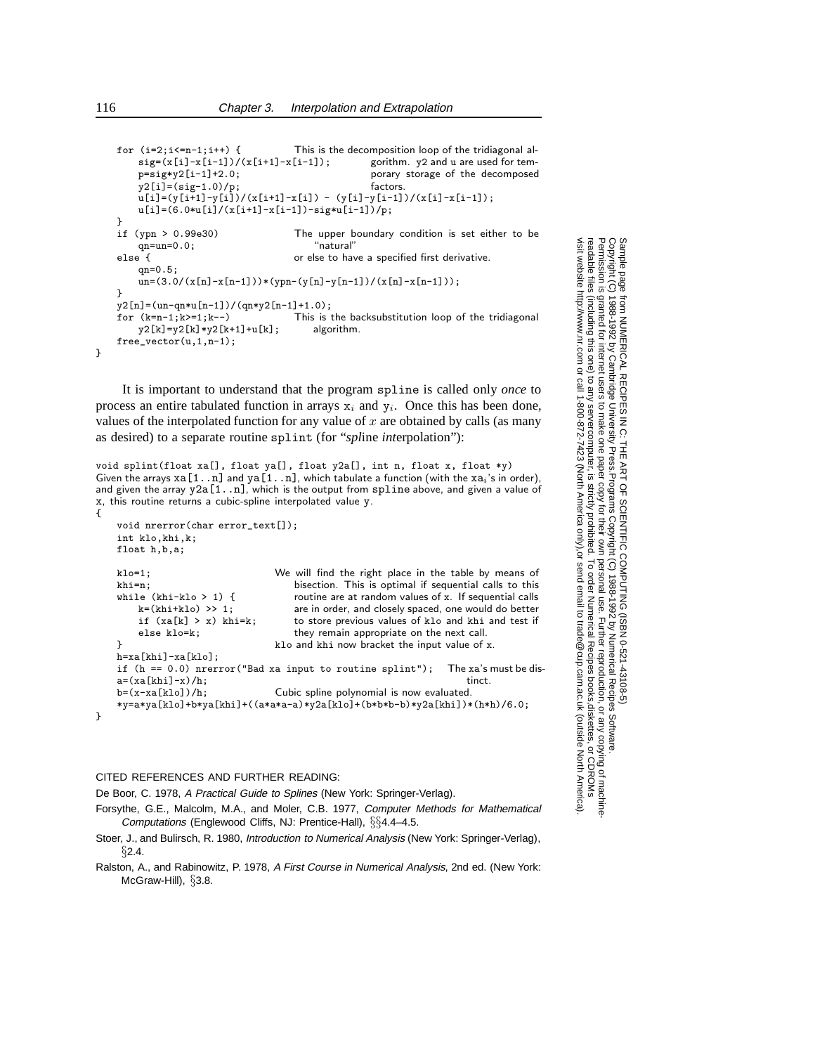```
for (i=2; i<=n-1; i++) { This is the decomposition loop of the tridiagonal al-
                                                 gorithm. y2 and u are used for tem-
                                                 porary storage of the decomposed
                                                 factors.
    sig=(x[i]-x[i-1])/(x[i+1]-x[i-1]);p=sig*y2[i-1]+2.0;
    y2[i] = (sig-1.0)/p;u[i]=(y[i+1]-y[i])/(x[i+1]-x[i]) - (y[i]-y[i-1])/(x[i]-x[i-1]);u[i]=(6.0*u[i]/(x[i+1]-x[i-1])-sig*u[i-1])/p;
}
if (ypn > 0.99e30) The upper boundary condition is set either to be an=un=0.0:
    qn=un=0.0;else { or else to have a specified first derivative.
    qn=0.5;
    un=(3.0/(x[n]-x[n-1]))*(ypn-(y[n]-y[n-1])/(x[n]-x[n-1]));
}
y2[n] = (un-qn*u[n-1])/(qn*y2[n-1]+1.0);<br>for (k=n-1:k>=1:k--) This is t
                                  This is the backsubstitution loop of the tridiagonal algorithm.
    y2[k]=y2[k]*y2[k+1]+u[k];free_vector(u,1,n-1);
```
It is important to understand that the program spline is called only *once* to process an entire tabulated function in arrays  $x_i$  and  $y_i$ . Once this has been done, values of the interpolated function for any value of  $x$  are obtained by calls (as many as desired) to a separate routine splint (for "*spl*ine *int*erpolation"):

```
void splint(float xa[], float ya[], float y2a[], int n, float x, float *y)
Given the arrays xa[1..n] and ya[1..n], which tabulate a function (with the xa_i's in order),
and given the array y2a[1..n], which is the output from \text{split} above, and given a value of
x, this routine returns a cubic-spline interpolated value y.
{
    void nrerror(char error_text[]);
    int klo,khi,k;
    float h,b,a;
   klo=1; We will find the right place in the table by means of
                                      bisection. This is optimal if sequential calls to this
                                      routine are at random values of x. If sequential calls
                                      are in order, and closely spaced, one would do better
                                      to store previous values of klo and khi and test if
                                      they remain appropriate on the next call.
    khi=n;
    while (khi-klo > 1) {
        k=(khi+klo) \gg 1;
        if (xa[k] > x) khi=k;
        else klo=k;
    } klo and khi now bracket the input value of x.
    h=xa[khi]-xa[klo];
    if (h == 0.0) nrerror("Bad xa input to routine splint"); The xa's must be dis-
    a=(xa[khi]-x)/h; tinct.<br>
b=(x-xa[kIo])/h; Cubic spline polynomial is now evaluated.
                                  Cubic spline polynomial is now evaluated.
```

```
*y=a*ya[klo]+b*ya[khi]+((a*a*a-a)*y2a[klo]+(b*b*b-b)*y2a[khi])*(h*h)/6.0;
```

```
}
```
#### CITED REFERENCES AND FURTHER READING:

De Boor, C. 1978, A Practical Guide to Splines (New York: Springer-Verlag).

- Forsythe, G.E., Malcolm, M.A., and Moler, C.B. 1977, Computer Methods for Mathematical Computations (Englewood Cliffs, NJ: Prentice-Hall), *§§*4.4–4.5.
- Stoer, J., and Bulirsch, R. 1980, Introduction to Numerical Analysis (New York: Springer-Verlag), *§*2.4.
- Ralston, A., and Rabinowitz, P. 1978, A First Course in Numerical Analysis, 2nd ed. (New York: McGraw-Hill), *§*3.8.

Sample page from NUMERICAL RECIPES IN C: THE ART OF SCIENTIFIC COMPUTING (ISBN 0-521-43106-5)<br>Permission is granted for internet users to make one paper copy for their own personal use. Further reproduction, or any copying visit website http://www.nr.com or call 1-800-872-7423 (North America only), readable files (including this one) to any server Permission is granted for internet users to make one paper copy for their own personal use. Further reproduction, or any copying of machine-Copyright (C) 1988-1992 by Cambridge University Press. Sample page from NUMERICAL RECIPES IN C: THE ART OF SCIENTIFIC COMPUTING (ISBN 0-521-43108-5) computer, is strictly prohibited. To order Numerical Recipes books, Programs Copyright (C) 1988-1992 by Numerical Recipes Software. or send email to trade@cup.cam.ac.uk (outside North America). diskettes, or CDROMs

}